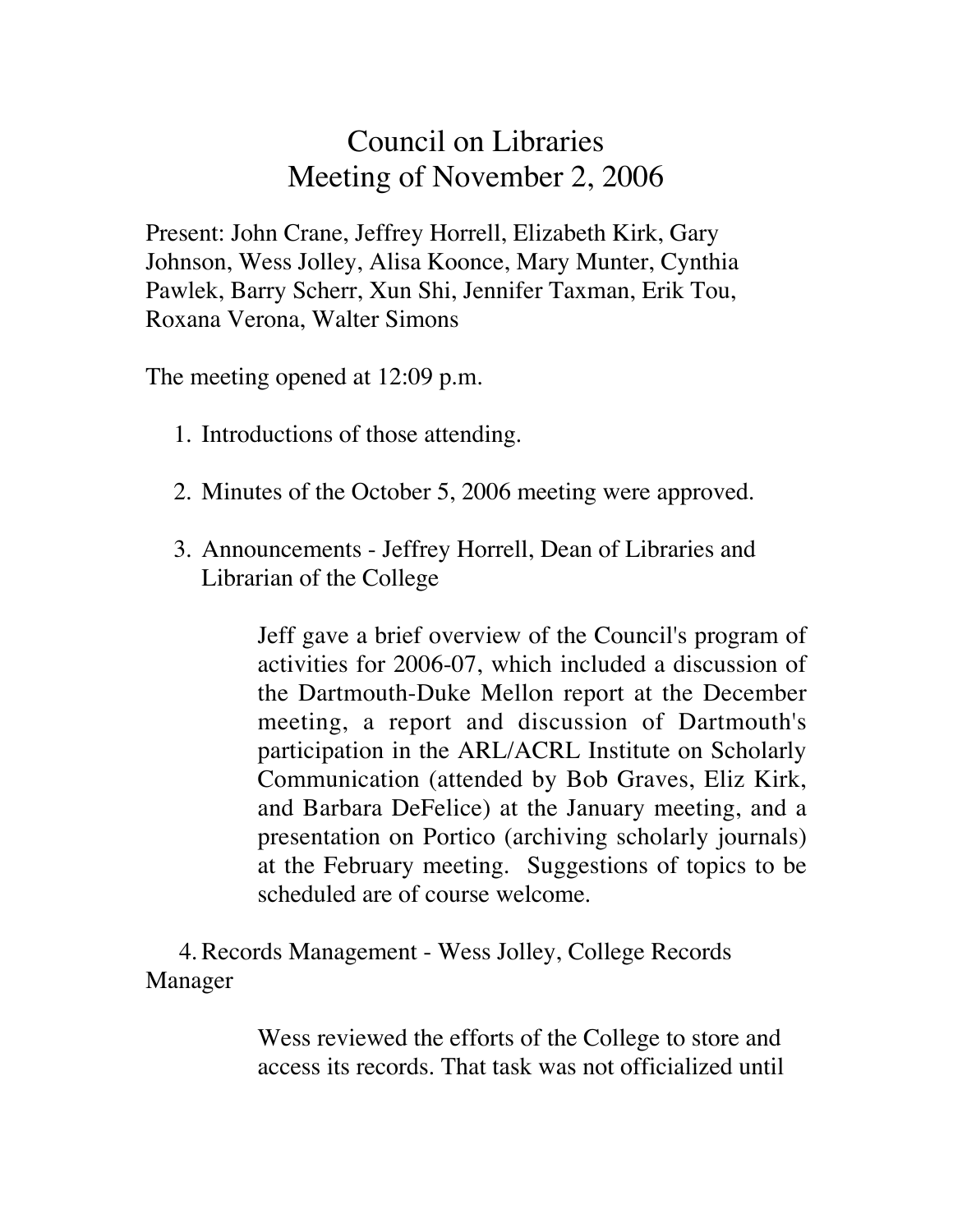## Council on Libraries Meeting of November 2, 2006

Present: John Crane, Jeffrey Horrell, Elizabeth Kirk, Gary Johnson, Wess Jolley, Alisa Koonce, Mary Munter, Cynthia Pawlek, Barry Scherr, Xun Shi, Jennifer Taxman, Erik Tou, Roxana Verona, Walter Simons

The meeting opened at 12:09 p.m.

- 1. Introductions of those attending.
- 2. Minutes of the October 5, 2006 meeting were approved.
- 3. Announcements Jeffrey Horrell, Dean of Libraries and Librarian of the College

Jeff gave a brief overview of the Council's program of activities for 2006-07, which included a discussion of the Dartmouth-Duke Mellon report at the December meeting, a report and discussion of Dartmouth's participation in the ARL/ACRL Institute on Scholarly Communication (attended by Bob Graves, Eliz Kirk, and Barbara DeFelice) at the January meeting, and a presentation on Portico (archiving scholarly journals) at the February meeting. Suggestions of topics to be scheduled are of course welcome.

4.Records Management - Wess Jolley, College Records Manager

> Wess reviewed the efforts of the College to store and access its records. That task was not officialized until